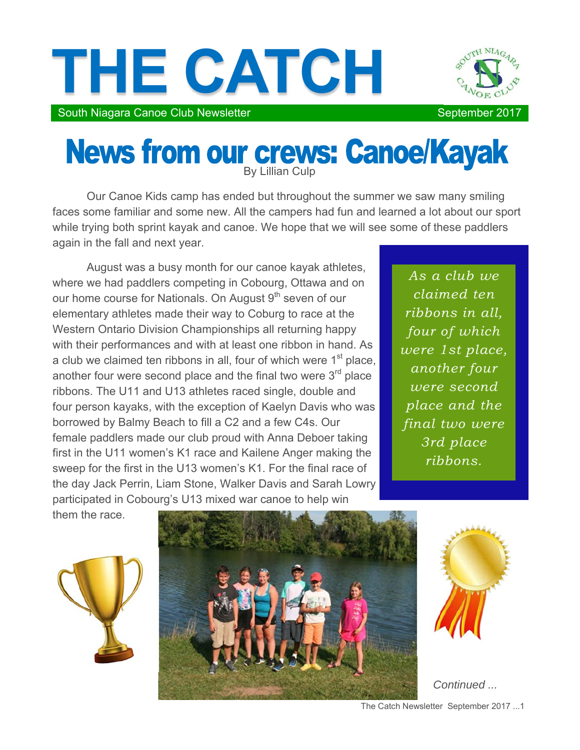



South Niagara Canoe Club Newsletter September 2017

## News from our crews: Canoe/Kayak

Our Canoe Kids camp has ended but throughout the summer we saw many smiling faces some familiar and some new. All the campers had fun and learned a lot about our sport while trying both sprint kayak and canoe. We hope that we will see some of these paddlers again in the fall and next year.

August was a busy month for our canoe kayak athletes, where we had paddlers competing in Cobourg, Ottawa and on our home course for Nationals. On August 9<sup>th</sup> seven of our elementary athletes made their way to Coburg to race at the Western Ontario Division Championships all returning happy with their performances and with at least one ribbon in hand. As a club we claimed ten ribbons in all, four of which were  $1<sup>st</sup>$  place, another four were second place and the final two were 3<sup>rd</sup> place ribbons. The U11 and U13 athletes raced single, double and four person kayaks, with the exception of Kaelyn Davis who was borrowed by Balmy Beach to fill a C2 and a few C4s. Our female paddlers made our club proud with Anna Deboer taking first in the U11 women's K1 race and Kailene Anger making the sweep for the first in the U13 women's K1. For the final race of the day Jack Perrin, Liam Stone, Walker Davis and Sarah Lowry participated in Cobourg's U13 mixed war canoe to help win

*As a club we claimed ten ribbons in all, four of which were 1st place, another four were second place and the final two were 3rd place ribbons.* 

them the race.







*Continued ...* 

The Catch Newsletter September 2017 ...1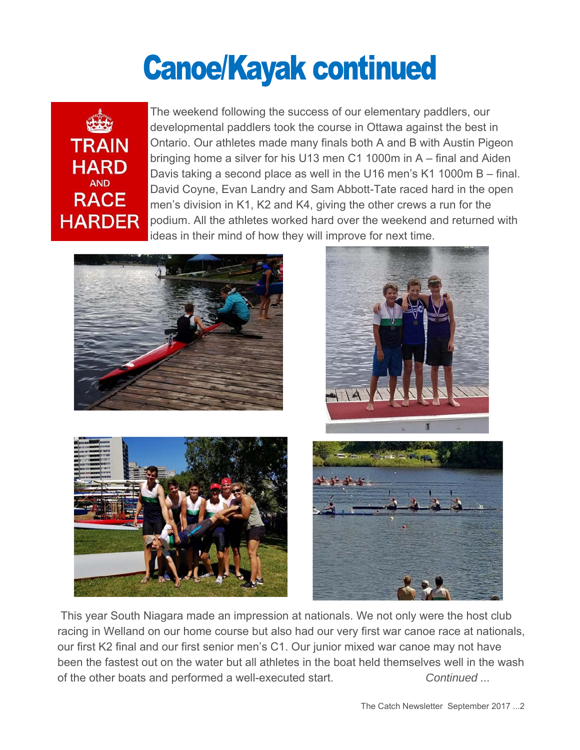## **Canoe/Kayak continued**



The weekend following the success of our elementary paddlers, our developmental paddlers took the course in Ottawa against the best in Ontario. Our athletes made many finals both A and B with Austin Pigeon bringing home a silver for his U13 men C1 1000m in A – final and Aiden Davis taking a second place as well in the U16 men's K1 1000m B – final. David Coyne, Evan Landry and Sam Abbott-Tate raced hard in the open men's division in K1, K2 and K4, giving the other crews a run for the podium. All the athletes worked hard over the weekend and returned with ideas in their mind of how they will improve for next time.







 This year South Niagara made an impression at nationals. We not only were the host club racing in Welland on our home course but also had our very first war canoe race at nationals, our first K2 final and our first senior men's C1. Our junior mixed war canoe may not have been the fastest out on the water but all athletes in the boat held themselves well in the wash of the other boats and performed a well-executed start. *Continued ...*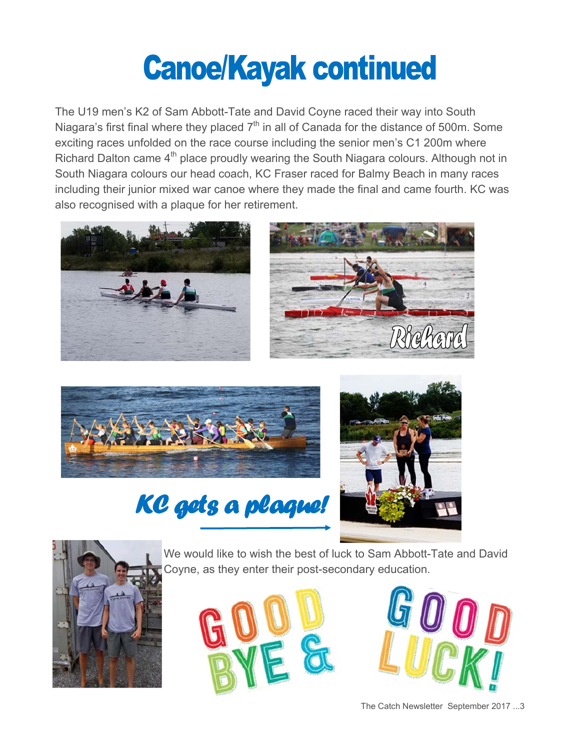## **Canoe/Kayak continued**

The U19 men's K2 of Sam Abbott-Tate and David Coyne raced their way into South Niagara's first final where they placed  $7<sup>th</sup>$  in all of Canada for the distance of 500m. Some exciting races unfolded on the race course including the senior men's C1 200m where Richard Dalton came 4<sup>th</sup> place proudly wearing the South Niagara colours. Although not in South Niagara colours our head coach, KC Fraser raced for Balmy Beach in many races including their junior mixed war canoe where they made the final and came fourth. KC was also recognised with a plaque for her retirement.







### KC gets a plaque!





We would like to wish the best of luck to Sam Abbott-Tate and David Coyne, as they enter their post-secondary education.





The Catch Newsletter September 2017 ...3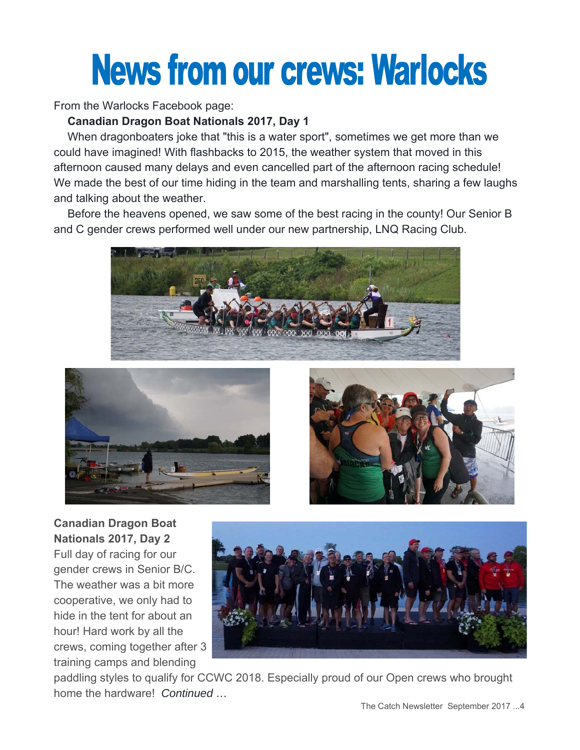# **News from our crews: Warlocks**

From the Warlocks Facebook page:

### **Canadian Dragon Boat Nationals 2017, Day 1**

 When dragonboaters joke that "this is a water sport", sometimes we get more than we could have imagined! With flashbacks to 2015, the weather system that moved in this afternoon caused many delays and even cancelled part of the afternoon racing schedule! We made the best of our time hiding in the team and marshalling tents, sharing a few laughs and talking about the weather.

 Before the heavens opened, we saw some of the best racing in the county! Our Senior B and C gender crews performed well under our new partnership, LNQ Racing Club.







**Canadian Dragon Boat Nationals 2017, Day 2**  Full day of racing for our gender crews in Senior B/C. The weather was a bit more cooperative, we only had to hide in the tent for about an hour! Hard work by all the crews, coming together after 3 training camps and blending



paddling styles to qualify for CCWC 2018. Especially proud of our Open crews who brought home the hardware! *Continued …*